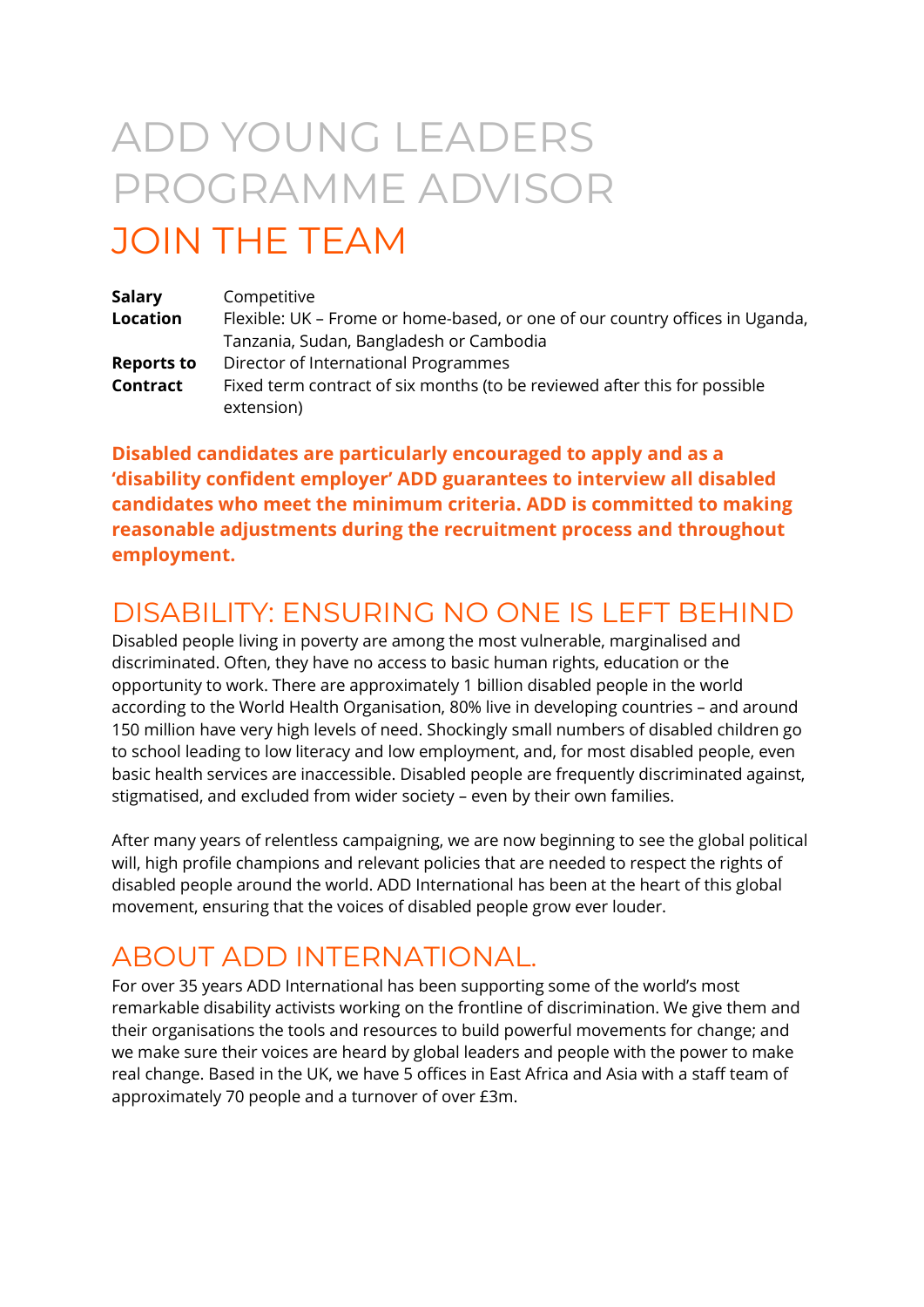# ADD YOUNG LEADERS PROGRAMME ADVISOR

# JOIN THE TEAM

| <b>Salary</b>     | Competitive                                                                  |
|-------------------|------------------------------------------------------------------------------|
| <b>Location</b>   | Flexible: UK – Frome or home-based, or one of our country offices in Uganda, |
|                   | Tanzania, Sudan, Bangladesh or Cambodia                                      |
| <b>Reports to</b> | Director of International Programmes                                         |
| Contract          | Fixed term contract of six months (to be reviewed after this for possible    |
|                   | extension)                                                                   |

**Disabled candidates are particularly encouraged to apply and as a 'disability confident employer' ADD guarantees to interview all disabled candidates who meet the minimum criteria. ADD is committed to making reasonable adjustments during the recruitment process and throughout employment.**

# DISABILITY: ENSURING NO ONE IS LEFT BEHIND

Disabled people living in poverty are among the most vulnerable, marginalised and discriminated. Often, they have no access to basic human rights, education or the opportunity to work. There are approximately 1 billion disabled people in the world according to the World Health Organisation, 80% live in developing countries – and around 150 million have very high levels of need. Shockingly small numbers of disabled children go to school leading to low literacy and low employment, and, for most disabled people, even basic health services are inaccessible. Disabled people are frequently discriminated against, stigmatised, and excluded from wider society – even by their own families.

After many years of relentless campaigning, we are now beginning to see the global political will, high profile champions and relevant policies that are needed to respect the rights of disabled people around the world. ADD International has been at the heart of this global movement, ensuring that the voices of disabled people grow ever louder.

### ABOUT ADD INTERNATIONAL.

For over 35 years ADD International has been supporting some of the world's most remarkable disability activists working on the frontline of discrimination. We give them and their organisations the tools and resources to build powerful movements for change; and we make sure their voices are heard by global leaders and people with the power to make real change. Based in the UK, we have 5 offices in East Africa and Asia with a staff team of approximately 70 people and a turnover of over £3m.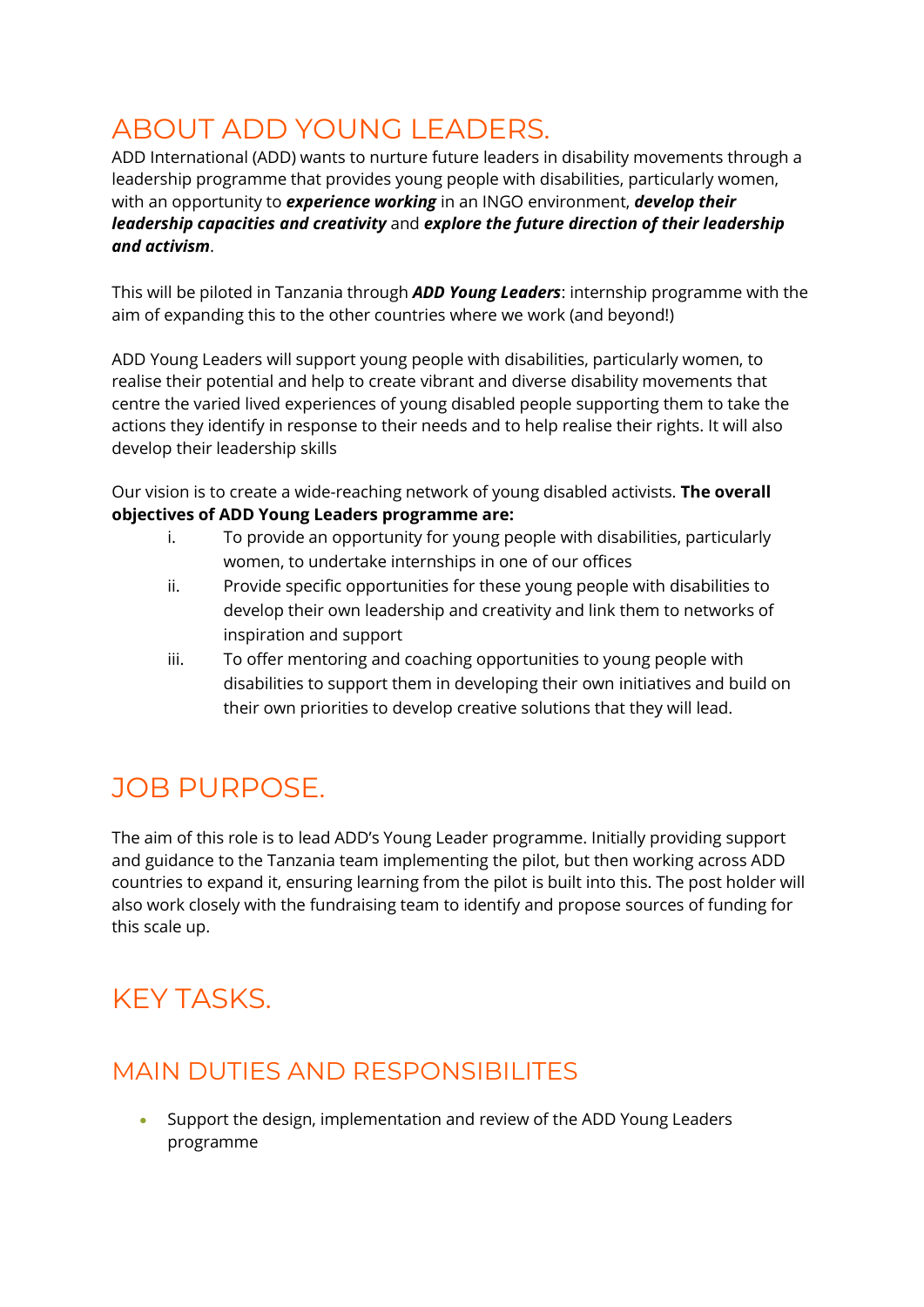### ABOUT ADD YOUNG LEADERS.

ADD International (ADD) wants to nurture future leaders in disability movements through a leadership programme that provides young people with disabilities, particularly women, with an opportunity to *experience working* in an INGO environment, *develop their leadership capacities and creativity* and *explore the future direction of their leadership and activism*.

This will be piloted in Tanzania through *ADD Young Leaders*: internship programme with the aim of expanding this to the other countries where we work (and beyond!)

ADD Young Leaders will support young people with disabilities, particularly women, to realise their potential and help to create vibrant and diverse disability movements that centre the varied lived experiences of young disabled people supporting them to take the actions they identify in response to their needs and to help realise their rights. It will also develop their leadership skills

Our vision is to create a wide-reaching network of young disabled activists. **The overall objectives of ADD Young Leaders programme are:**

- i. To provide an opportunity for young people with disabilities, particularly women, to undertake internships in one of our offices
- ii. Provide specific opportunities for these young people with disabilities to develop their own leadership and creativity and link them to networks of inspiration and support
- iii. To offer mentoring and coaching opportunities to young people with disabilities to support them in developing their own initiatives and build on their own priorities to develop creative solutions that they will lead.

### JOB PURPOSE.

The aim of this role is to lead ADD's Young Leader programme. Initially providing support and guidance to the Tanzania team implementing the pilot, but then working across ADD countries to expand it, ensuring learning from the pilot is built into this. The post holder will also work closely with the fundraising team to identify and propose sources of funding for this scale up.

# KEY TASKS.

### MAIN DUTIES AND RESPONSIBILITES

• Support the design, implementation and review of the ADD Young Leaders programme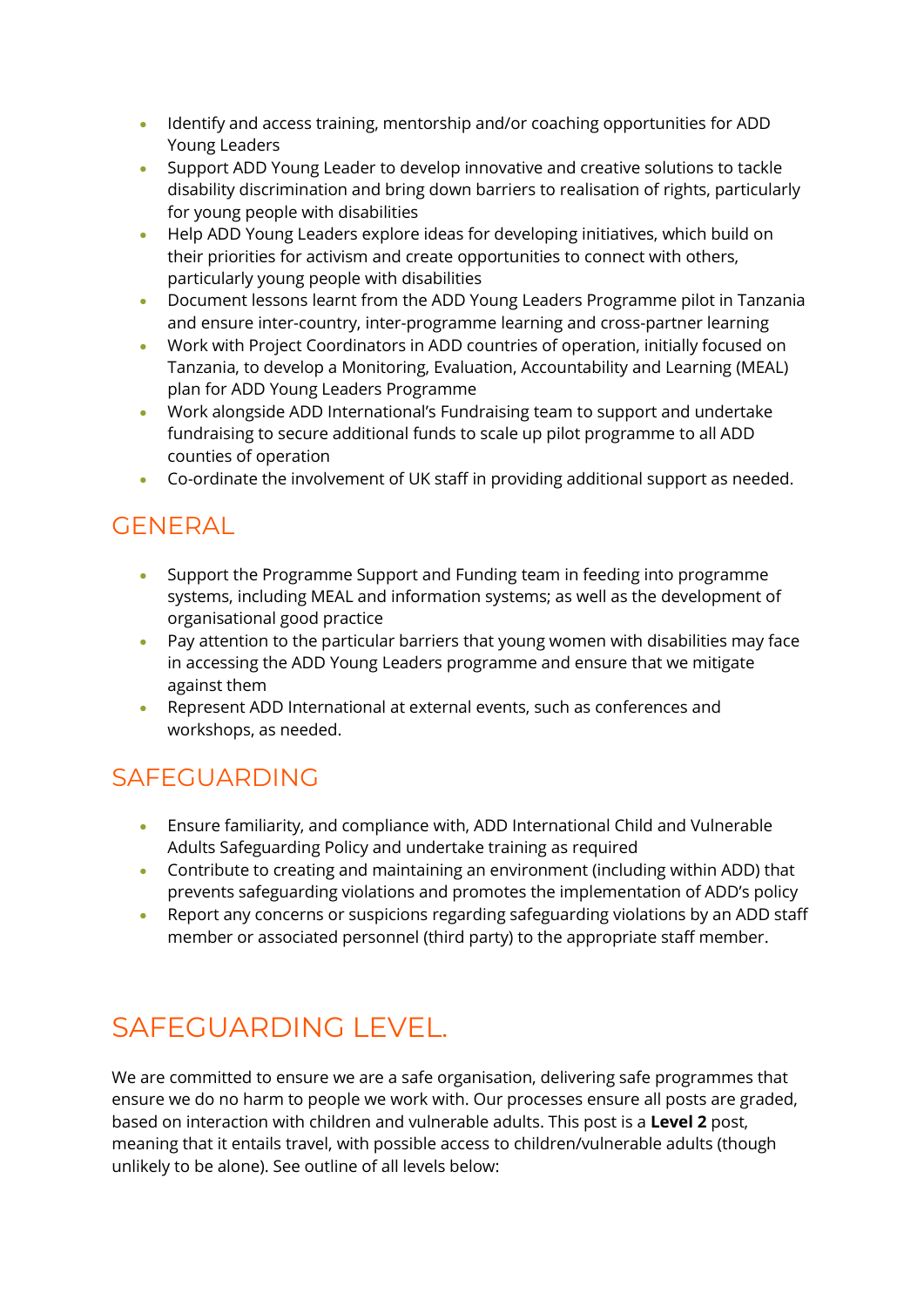- Identify and access training, mentorship and/or coaching opportunities for ADD Young Leaders
- Support ADD Young Leader to develop innovative and creative solutions to tackle disability discrimination and bring down barriers to realisation of rights, particularly for young people with disabilities
- Help ADD Young Leaders explore ideas for developing initiatives, which build on their priorities for activism and create opportunities to connect with others, particularly young people with disabilities
- Document lessons learnt from the ADD Young Leaders Programme pilot in Tanzania and ensure inter-country, inter-programme learning and cross-partner learning
- Work with Project Coordinators in ADD countries of operation, initially focused on Tanzania, to develop a Monitoring, Evaluation, Accountability and Learning (MEAL) plan for ADD Young Leaders Programme
- Work alongside ADD International's Fundraising team to support and undertake fundraising to secure additional funds to scale up pilot programme to all ADD counties of operation
- Co-ordinate the involvement of UK staff in providing additional support as needed.

### GENERAL

- Support the Programme Support and Funding team in feeding into programme systems, including MEAL and information systems; as well as the development of organisational good practice
- Pay attention to the particular barriers that young women with disabilities may face in accessing the ADD Young Leaders programme and ensure that we mitigate against them
- Represent ADD International at external events, such as conferences and workshops, as needed.

### SAFEGUARDING

- Ensure familiarity, and compliance with, ADD International Child and Vulnerable Adults Safeguarding Policy and undertake training as required
- Contribute to creating and maintaining an environment (including within ADD) that prevents safeguarding violations and promotes the implementation of ADD's policy
- Report any concerns or suspicions regarding safeguarding violations by an ADD staff member or associated personnel (third party) to the appropriate staff member.

# SAFEGUARDING LEVEL.

We are committed to ensure we are a safe organisation, delivering safe programmes that ensure we do no harm to people we work with. Our processes ensure all posts are graded, based on interaction with children and vulnerable adults. This post is a **Level 2** post, meaning that it entails travel, with possible access to children/vulnerable adults (though unlikely to be alone). See outline of all levels below: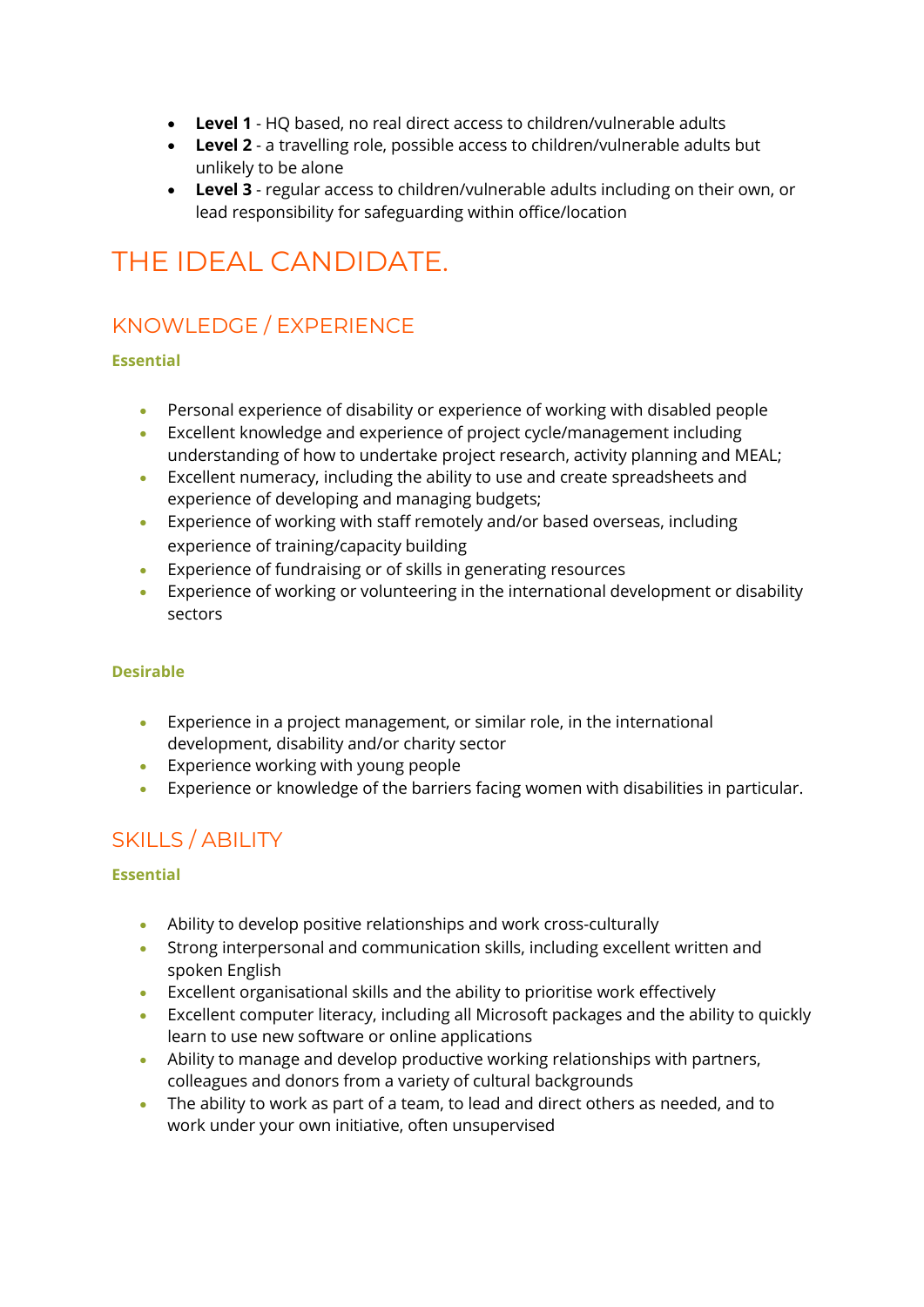- **Level 1** HQ based, no real direct access to children/vulnerable adults
- **Level 2** a travelling role, possible access to children/vulnerable adults but unlikely to be alone
- **Level 3** regular access to children/vulnerable adults including on their own, or lead responsibility for safeguarding within office/location

# THE IDEAL CANDIDATE.

### KNOWLEDGE / EXPERIENCE

#### **Essential**

- Personal experience of disability or experience of working with disabled people
- Excellent knowledge and experience of project cycle/management including understanding of how to undertake project research, activity planning and MEAL;
- Excellent numeracy, including the ability to use and create spreadsheets and experience of developing and managing budgets;
- Experience of working with staff remotely and/or based overseas, including experience of training/capacity building
- Experience of fundraising or of skills in generating resources
- Experience of working or volunteering in the international development or disability sectors

#### **Desirable**

- Experience in a project management, or similar role, in the international development, disability and/or charity sector
- Experience working with young people
- Experience or knowledge of the barriers facing women with disabilities in particular.

### SKILLS / ABILITY

#### **Essential**

- Ability to develop positive relationships and work cross-culturally
- Strong interpersonal and communication skills, including excellent written and spoken English
- Excellent organisational skills and the ability to prioritise work effectively
- Excellent computer literacy, including all Microsoft packages and the ability to quickly learn to use new software or online applications
- Ability to manage and develop productive working relationships with partners, colleagues and donors from a variety of cultural backgrounds
- The ability to work as part of a team, to lead and direct others as needed, and to work under your own initiative, often unsupervised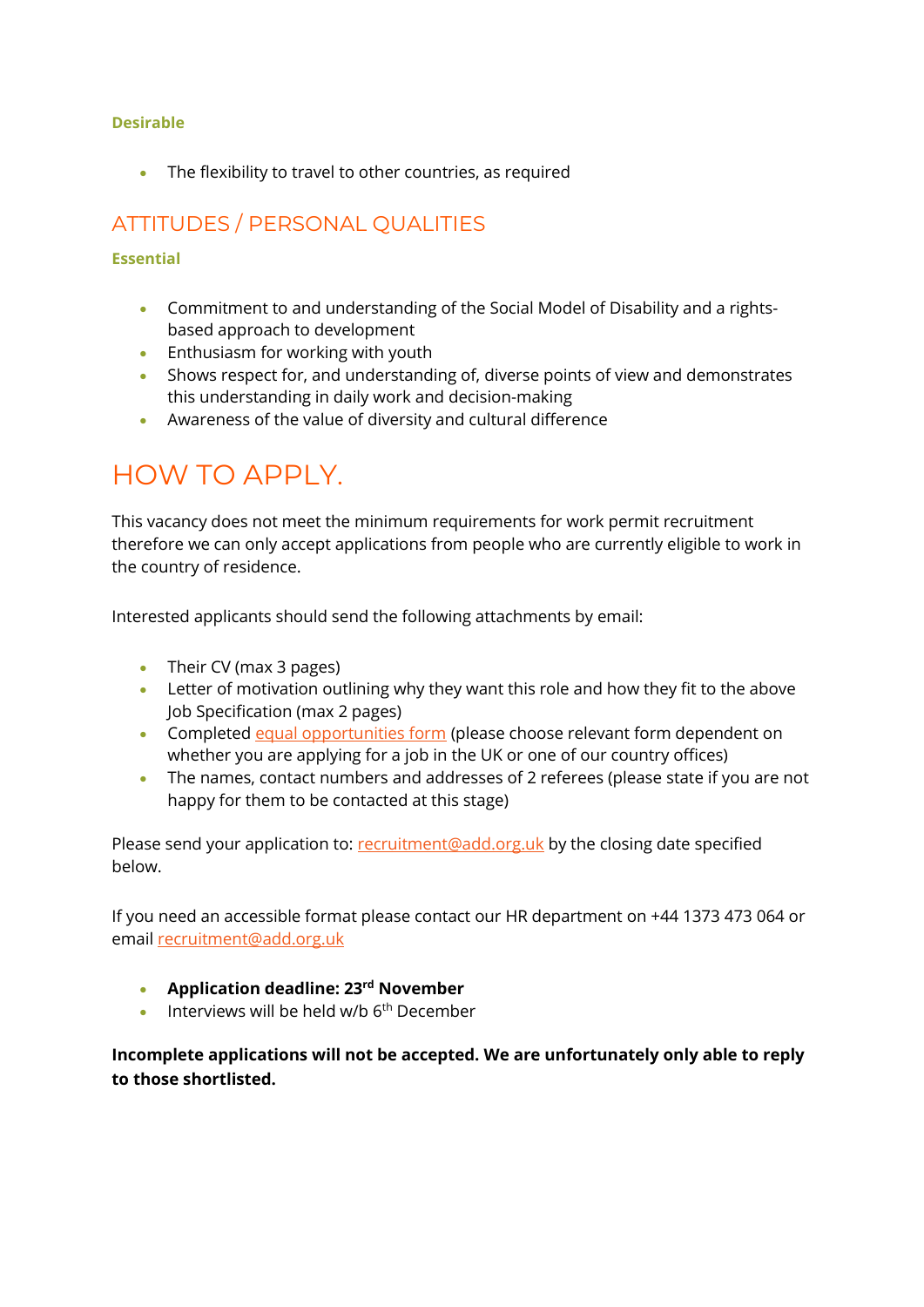#### **Desirable**

• The flexibility to travel to other countries, as required

### ATTITUDES / PERSONAL QUALITIES

#### **Essential**

- Commitment to and understanding of the Social Model of Disability and a rightsbased approach to development
- Enthusiasm for working with youth
- Shows respect for, and understanding of, diverse points of view and demonstrates this understanding in daily work and decision-making
- Awareness of the value of diversity and cultural difference

### HOW TO APPLY.

This vacancy does not meet the minimum requirements for work permit recruitment therefore we can only accept applications from people who are currently eligible to work in the country of residence.

Interested applicants should send the following attachments by email:

- Their CV (max 3 pages)
- Letter of motivation outlining why they want this role and how they fit to the above Job Specification (max 2 pages)
- Completed [equal opportunities form](https://www.add.org.uk/equal-opportunities) (please choose relevant form dependent on whether you are applying for a job in the UK or one of our country offices)
- The names, contact numbers and addresses of 2 referees (please state if you are not happy for them to be contacted at this stage)

Please send your application to: [recruitment@add.org.uk](mailto:recruitment@add.org.uk) by the closing date specified below.

If you need an accessible format please contact our HR department on +44 1373 473 064 or email [recruitment@add.org.uk](mailto:recruitment@add.org.uk)

- **Application deadline: 23rd November**
- $\bullet$  Interviews will be held w/b  $6<sup>th</sup>$  December

**Incomplete applications will not be accepted. We are unfortunately only able to reply to those shortlisted.**